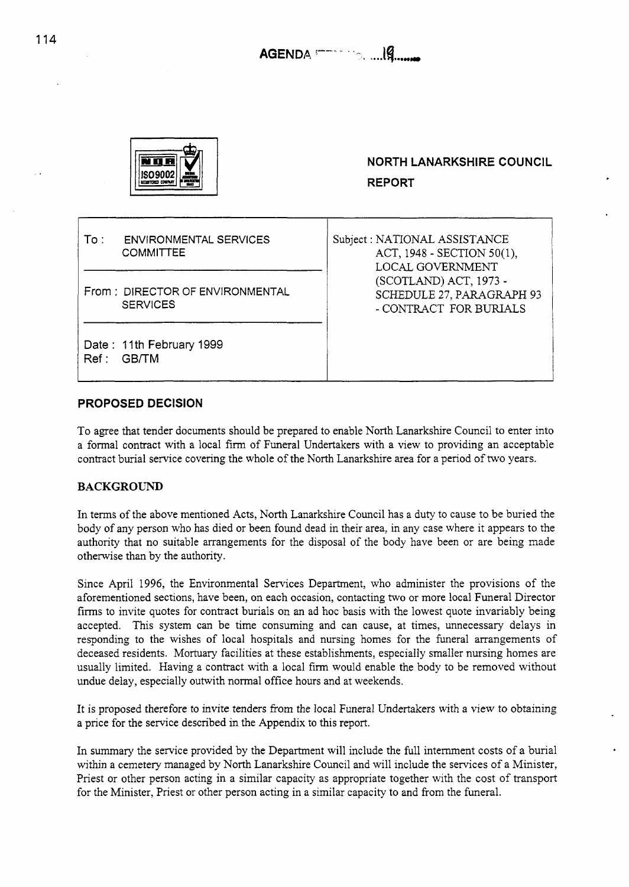

To : ENVIRONMENTAL SERVICES **COMMITTEE** 

From : DIRECTOR **OF** ENVIRONMENTAL SERVICES

Date: 11th February 1999 Ref: GB/TM

**NORTH LANARKSHIRE COUNCIL REPORT** 

Subject : NATIONAL ASSISTANCE ACT, 1948 - SECTION 50(1), LOCAL GOVERNMENT SCHEDULE 27, PARAGRAPH 93 (SCOTLAND) ACT, 1973 - - CONTRACT FOR BURIALS

# **PROPOSED DECISION**

To agree that tender documents should be prepared to enable North Lanarkshire Council to enter into a formal contract with a local firm of Funeral Undertakers with a view to providing an acceptable contract burial service covering the whole of the North Lanarkshire area for a period of two years.

# **BACKGROUND**

In terms of the above mentioned Acts, North Lanarkshire Council has a duty to cause to be buried the body of any person who has died or been found dead in their area, in any case where it appears to the authority that no suitable arrangements for the disposal of the body have been or are being made otherwise than by the authority.

Since April 1996, the Environmental Services Department, who administer the provisions of the aforementioned sections, have been, on each occasion, contacting two or more local Funeral Director firms to invite quotes for contract burials on an ad hoc basis with the lowest quote invariably being accepted. This system can be time consuming and can cause, at times, unnecessary delays in responding to the wishes of local hospitals and nursing homes for the funeral arrangements of deceased residents. Mortuary facilities at these establishments, especially smaller nursing homes are usually limited. Having a contract with a local firm would enable the body to be removed without undue delay, especially outwith normal office hours and at weekends.

It is proposed therefore to invite tenders from the local Funeral Undertakers with a view to obtaining a price for the service described in the Appendix to this report.

In summary the service provided by the Department will include the full internment costs of a burial within a cemetery managed by North Lanarkshire Council and will include the services of a Minister, Priest or other person acting in a similar capacity as appropriate together with the cost of transport for the Minister, Priest or other person acting in a similar capacity to and from the funeral.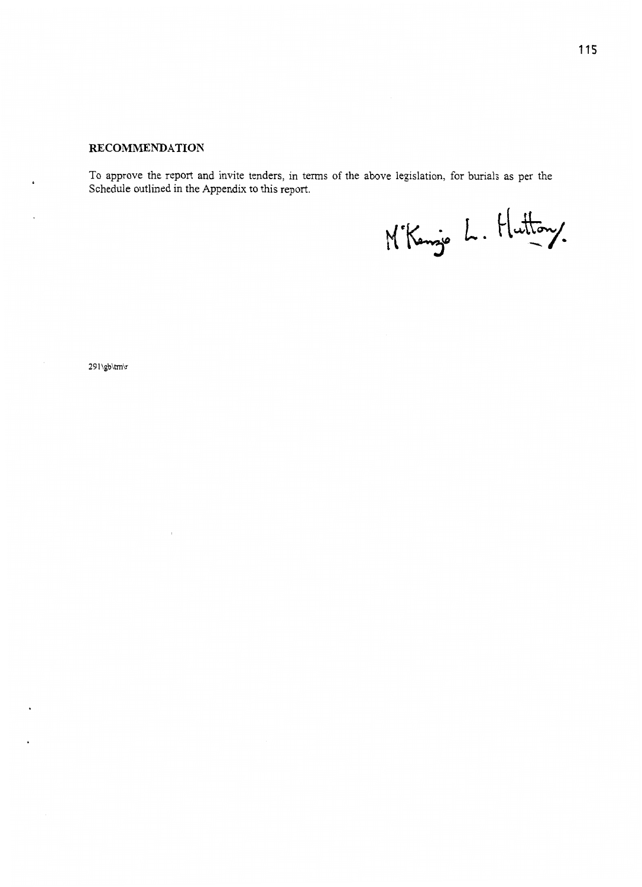# **RECOMMENDATION**

To approve the report and invite tenders, in terms of the above legislation, for burials as per the Schedule outlined in the Appendix to this report.

M'Kenze L. Huttony.

**29** 1 \gb\tm\r

 $\epsilon$